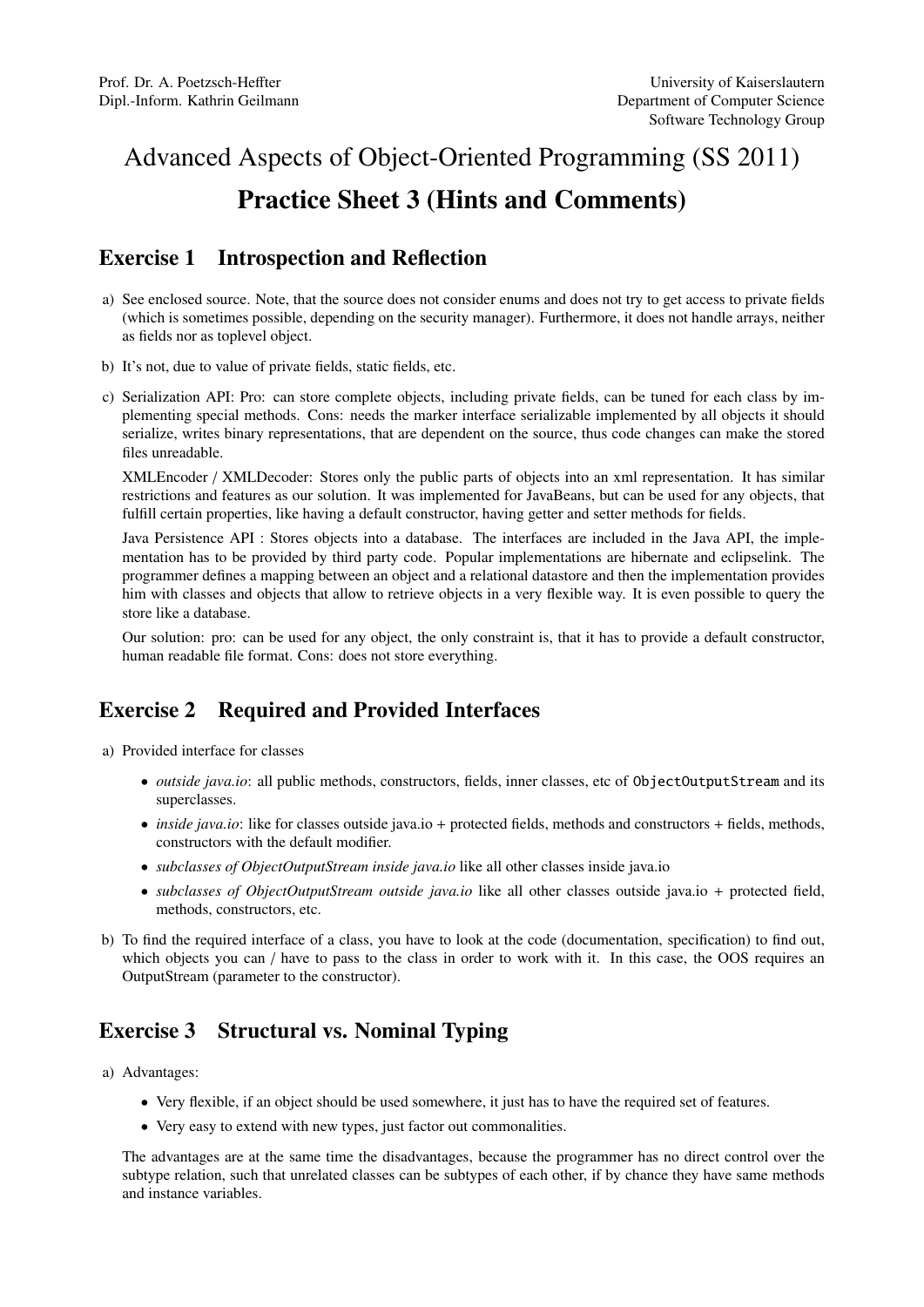## Advanced Aspects of Object-Oriented Programming (SS 2011) Practice Sheet 3 (Hints and Comments)

## Exercise 1 Introspection and Reflection

- a) See enclosed source. Note, that the source does not consider enums and does not try to get access to private fields (which is sometimes possible, depending on the security manager). Furthermore, it does not handle arrays, neither as fields nor as toplevel object.
- b) It's not, due to value of private fields, static fields, etc.
- c) Serialization API: Pro: can store complete objects, including private fields, can be tuned for each class by implementing special methods. Cons: needs the marker interface serializable implemented by all objects it should serialize, writes binary representations, that are dependent on the source, thus code changes can make the stored files unreadable.

XMLEncoder / XMLDecoder: Stores only the public parts of objects into an xml representation. It has similar restrictions and features as our solution. It was implemented for JavaBeans, but can be used for any objects, that fulfill certain properties, like having a default constructor, having getter and setter methods for fields.

Java Persistence API : Stores objects into a database. The interfaces are included in the Java API, the implementation has to be provided by third party code. Popular implementations are hibernate and eclipselink. The programmer defines a mapping between an object and a relational datastore and then the implementation provides him with classes and objects that allow to retrieve objects in a very flexible way. It is even possible to query the store like a database.

Our solution: pro: can be used for any object, the only constraint is, that it has to provide a default constructor, human readable file format. Cons: does not store everything.

## Exercise 2 Required and Provided Interfaces

a) Provided interface for classes

- *outside java.io*: all public methods, constructors, fields, inner classes, etc of ObjectOutputStream and its superclasses.
- *inside java.io*: like for classes outside java.io + protected fields, methods and constructors + fields, methods, constructors with the default modifier.
- *subclasses of ObjectOutputStream inside java.io* like all other classes inside java.io
- *subclasses of ObjectOutputStream outside java.io* like all other classes outside java.io + protected field, methods, constructors, etc.
- b) To find the required interface of a class, you have to look at the code (documentation, specification) to find out, which objects you can / have to pass to the class in order to work with it. In this case, the OOS requires an OutputStream (parameter to the constructor).

## Exercise 3 Structural vs. Nominal Typing

- a) Advantages:
	- Very flexible, if an object should be used somewhere, it just has to have the required set of features.
	- Very easy to extend with new types, just factor out commonalities.

The advantages are at the same time the disadvantages, because the programmer has no direct control over the subtype relation, such that unrelated classes can be subtypes of each other, if by chance they have same methods and instance variables.